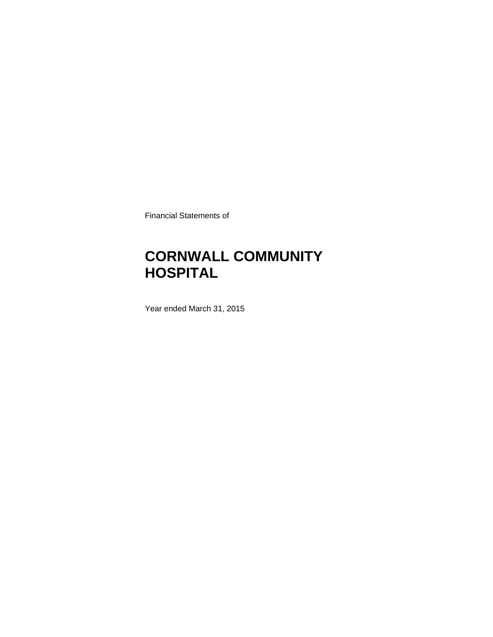Financial Statements of

### **CORNWALL COMMUNITY HOSPITAL**

Year ended March 31, 2015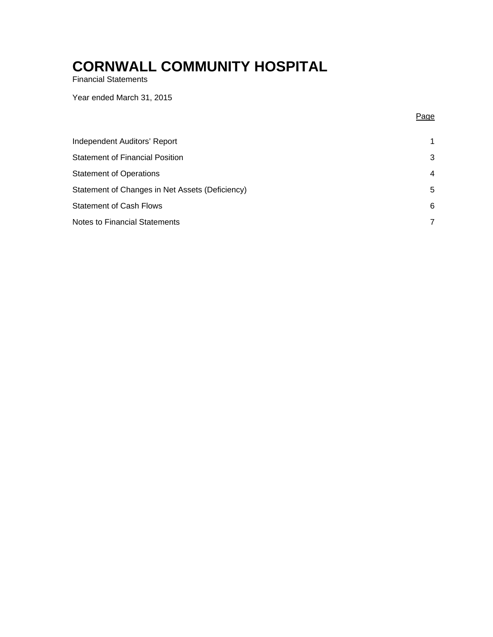Financial Statements

Year ended March 31, 2015

na di pagembang di pagembang di pagembang di pagembang di pagembang di pagembang di pagembang di pagembang di pagembang di pagembang di pagembang di pagembang di pagembang di pagembang di pagembang di pagembang di pagemban

| 1              |
|----------------|
| 3              |
| $\overline{4}$ |
| 5              |
| 6              |
| 7              |
|                |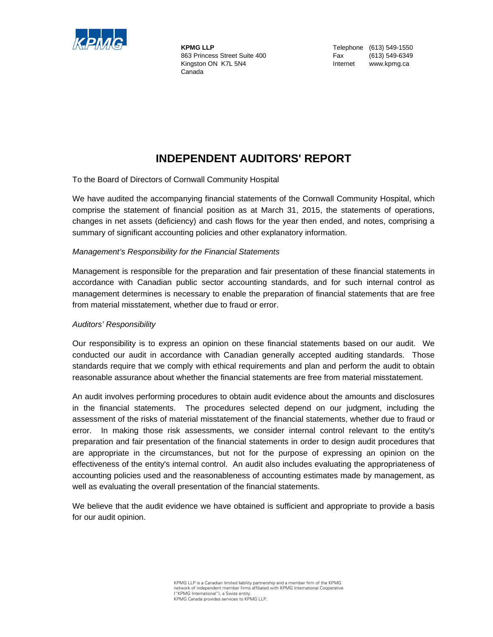

**KPMG LLP Telephone** (613) 549-1550 863 Princess Street Suite 400 Fax (613) 549-6349 Kingston ON K7L 5N4 Internet www.kpmg.ca Canada

### **INDEPENDENT AUDITORS' REPORT**

To the Board of Directors of Cornwall Community Hospital

We have audited the accompanying financial statements of the Cornwall Community Hospital, which comprise the statement of financial position as at March 31, 2015, the statements of operations, changes in net assets (deficiency) and cash flows for the year then ended, and notes, comprising a summary of significant accounting policies and other explanatory information.

### *Management's Responsibility for the Financial Statements*

Management is responsible for the preparation and fair presentation of these financial statements in accordance with Canadian public sector accounting standards, and for such internal control as management determines is necessary to enable the preparation of financial statements that are free from material misstatement, whether due to fraud or error.

#### *Auditors' Responsibility*

Our responsibility is to express an opinion on these financial statements based on our audit. We conducted our audit in accordance with Canadian generally accepted auditing standards. Those standards require that we comply with ethical requirements and plan and perform the audit to obtain reasonable assurance about whether the financial statements are free from material misstatement.

An audit involves performing procedures to obtain audit evidence about the amounts and disclosures in the financial statements. The procedures selected depend on our judgment, including the assessment of the risks of material misstatement of the financial statements, whether due to fraud or error. In making those risk assessments, we consider internal control relevant to the entity's preparation and fair presentation of the financial statements in order to design audit procedures that are appropriate in the circumstances, but not for the purpose of expressing an opinion on the effectiveness of the entity's internal control. An audit also includes evaluating the appropriateness of accounting policies used and the reasonableness of accounting estimates made by management, as well as evaluating the overall presentation of the financial statements.

We believe that the audit evidence we have obtained is sufficient and appropriate to provide a basis for our audit opinion.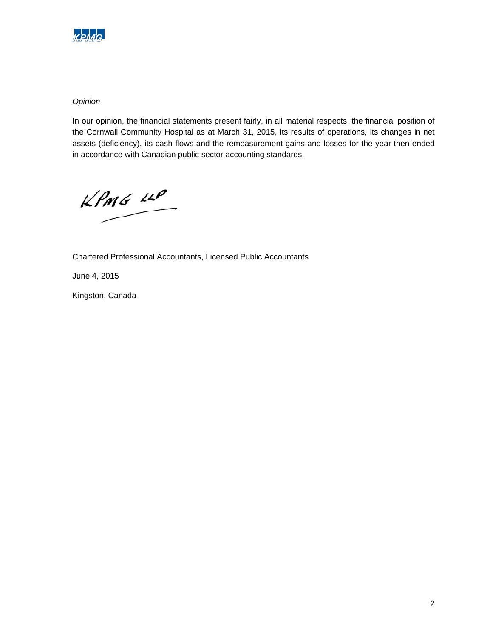

### *Opinion*

In our opinion, the financial statements present fairly, in all material respects, the financial position of the Cornwall Community Hospital as at March 31, 2015, its results of operations, its changes in net assets (deficiency), its cash flows and the remeasurement gains and losses for the year then ended in accordance with Canadian public sector accounting standards.

 $KPMG$   $\mu P$ 

Chartered Professional Accountants, Licensed Public Accountants

June 4, 2015

Kingston, Canada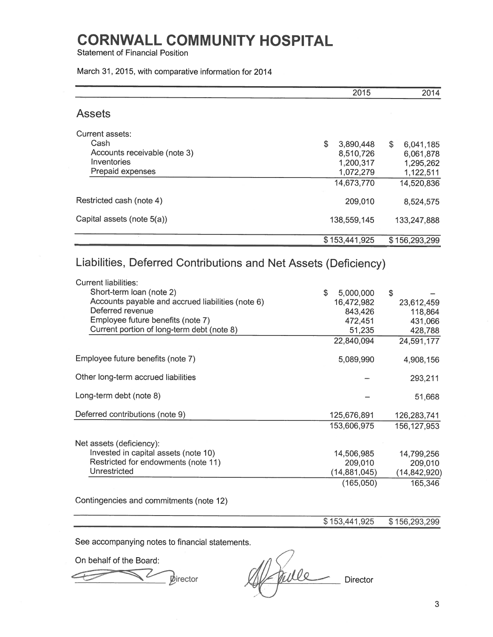**Statement of Financial Position** 

March 31, 2015, with comparative information for 2014

|                                                                       | 2015              | 2014            |
|-----------------------------------------------------------------------|-------------------|-----------------|
| <b>Assets</b>                                                         |                   |                 |
| Current assets:                                                       |                   |                 |
| Cash                                                                  | \$<br>3,890,448   | \$<br>6,041,185 |
| Accounts receivable (note 3)                                          | 8,510,726         | 6,061,878       |
| Inventories                                                           | 1,200,317         | 1,295,262       |
| Prepaid expenses                                                      | 1,072,279         | 1,122,511       |
|                                                                       | 14,673,770        | 14,520,836      |
| Restricted cash (note 4)                                              | 209,010           | 8,524,575       |
| Capital assets (note 5(a))                                            | 138,559,145       | 133,247,888     |
|                                                                       | \$153,441,925     | \$156,293,299   |
| Liabilities, Deferred Contributions and Net Assets (Deficiency)       |                   |                 |
| <b>Current liabilities:</b>                                           |                   |                 |
| Short-term loan (note 2)                                              | \$<br>5,000,000   | \$              |
| Accounts payable and accrued liabilities (note 6)<br>Deferred revenue | 16,472,982        | 23,612,459      |
| Employee future benefits (note 7)                                     | 843,426           | 118,864         |
| Current portion of long-term debt (note 8)                            | 472,451<br>51,235 | 431,066         |
|                                                                       |                   | 428,788         |

|                                                                                                                         | 22,840,094                                         | 24,591,177                                         |
|-------------------------------------------------------------------------------------------------------------------------|----------------------------------------------------|----------------------------------------------------|
| Employee future benefits (note 7)                                                                                       | 5,089,990                                          | 4,908,156                                          |
| Other long-term accrued liabilities                                                                                     |                                                    | 293,211                                            |
| Long-term debt (note 8)                                                                                                 |                                                    | 51,668                                             |
| Deferred contributions (note 9)                                                                                         | 125,676,891<br>153,606,975                         | 126,283,741<br>156,127,953                         |
| Net assets (deficiency):<br>Invested in capital assets (note 10)<br>Restricted for endowments (note 11)<br>Unrestricted | 14,506,985<br>209,010<br>(14,881,045)<br>(165,050) | 14,799,256<br>209,010<br>(14, 842, 920)<br>165,346 |
|                                                                                                                         |                                                    |                                                    |

Contingencies and commitments (note 12)

\$153,441,925 \$156,293,299

See accompanying notes to financial statements.

On behalf of the Board:

Director

Julle Director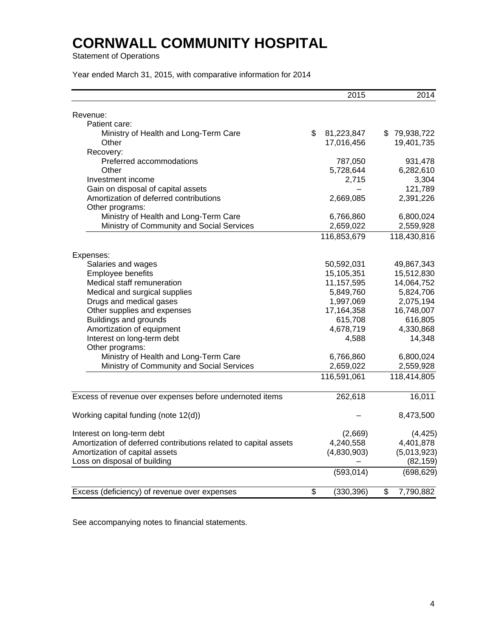Statement of Operations

Year ended March 31, 2015, with comparative information for 2014

|                                                                  |                         | 2015        | 2014            |
|------------------------------------------------------------------|-------------------------|-------------|-----------------|
| Revenue:                                                         |                         |             |                 |
| Patient care:                                                    |                         |             |                 |
| Ministry of Health and Long-Term Care                            | \$                      | 81,223,847  | \$79,938,722    |
| Other                                                            |                         | 17,016,456  | 19,401,735      |
| Recovery:                                                        |                         |             |                 |
| Preferred accommodations                                         |                         | 787,050     | 931,478         |
| Other                                                            |                         | 5,728,644   | 6,282,610       |
| Investment income                                                |                         | 2,715       | 3,304           |
| Gain on disposal of capital assets                               |                         |             | 121,789         |
| Amortization of deferred contributions                           |                         | 2,669,085   | 2,391,226       |
| Other programs:                                                  |                         |             |                 |
| Ministry of Health and Long-Term Care                            |                         | 6,766,860   | 6,800,024       |
| Ministry of Community and Social Services                        |                         | 2,659,022   | 2,559,928       |
|                                                                  |                         | 116,853,679 | 118,430,816     |
|                                                                  |                         |             |                 |
| Expenses:                                                        |                         |             |                 |
| Salaries and wages                                               |                         | 50,592,031  | 49,867,343      |
| Employee benefits                                                |                         | 15,105,351  | 15,512,830      |
| Medical staff remuneration                                       |                         | 11,157,595  | 14,064,752      |
| Medical and surgical supplies                                    |                         | 5,849,760   | 5,824,706       |
| Drugs and medical gases                                          |                         | 1,997,069   | 2,075,194       |
| Other supplies and expenses                                      |                         | 17,164,358  | 16,748,007      |
| <b>Buildings and grounds</b>                                     |                         | 615,708     | 616,805         |
| Amortization of equipment                                        |                         | 4,678,719   | 4,330,868       |
| Interest on long-term debt                                       |                         | 4,588       | 14,348          |
| Other programs:                                                  |                         |             |                 |
| Ministry of Health and Long-Term Care                            |                         | 6,766,860   | 6,800,024       |
| Ministry of Community and Social Services                        |                         | 2,659,022   | 2,559,928       |
|                                                                  |                         | 116,591,061 | 118,414,805     |
|                                                                  |                         |             |                 |
| Excess of revenue over expenses before undernoted items          |                         | 262,618     | 16,011          |
|                                                                  |                         |             |                 |
| Working capital funding (note 12(d))                             |                         |             | 8,473,500       |
|                                                                  |                         |             |                 |
| Interest on long-term debt                                       |                         | (2,669)     | (4, 425)        |
| Amortization of deferred contributions related to capital assets |                         | 4,240,558   | 4,401,878       |
| Amortization of capital assets                                   |                         | (4,830,903) | (5,013,923)     |
| Loss on disposal of building                                     |                         |             | (82, 159)       |
|                                                                  |                         | (593, 014)  | (698, 629)      |
|                                                                  |                         |             |                 |
| Excess (deficiency) of revenue over expenses                     | $\overline{\mathbf{3}}$ | (330, 396)  | \$<br>7,790,882 |

See accompanying notes to financial statements.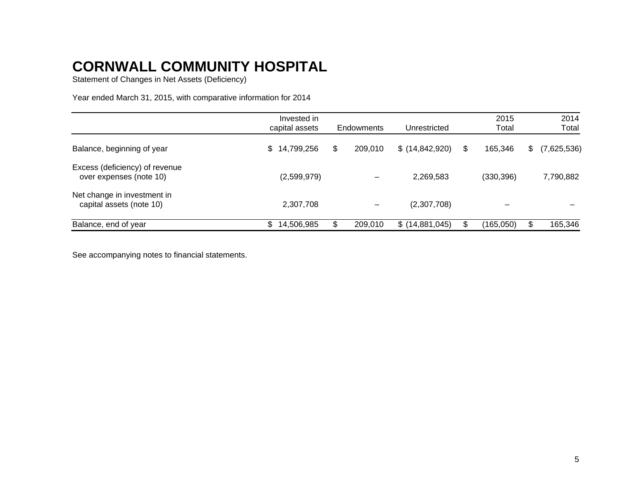Statement of Changes in Net Assets (Deficiency)

Year ended March 31, 2015, with comparative information for 2014

|                                                           | Invested in<br>capital assets | Endowments    | Unrestricted    | 2015<br>Total | 2014<br>Total     |
|-----------------------------------------------------------|-------------------------------|---------------|-----------------|---------------|-------------------|
| Balance, beginning of year                                | 14,799,256<br>\$              | \$<br>209,010 | \$ (14,842,920) | \$<br>165.346 | \$<br>(7,625,536) |
| Excess (deficiency) of revenue<br>over expenses (note 10) | (2,599,979)                   |               | 2,269,583       | (330, 396)    | 7,790,882         |
| Net change in investment in<br>capital assets (note 10)   | 2,307,708                     |               | (2,307,708)     |               |                   |
| Balance, end of year                                      | 14,506,985                    | 209.010       | \$(14,881,045)  | (165,050)     | 165,346           |

See accompanying notes to financial statements.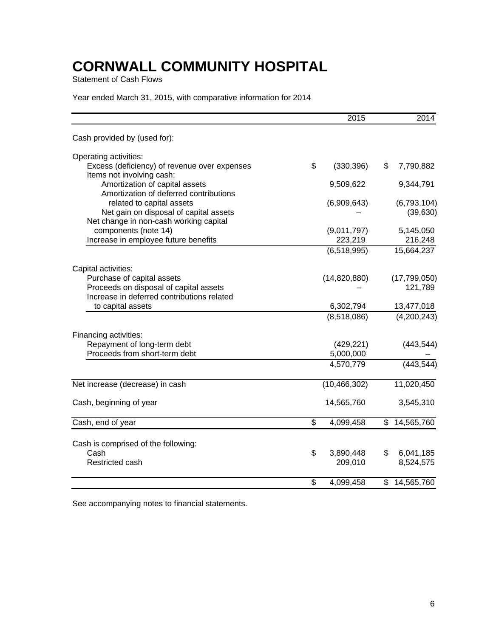Statement of Cash Flows

Year ended March 31, 2015, with comparative information for 2014

|                                                                                                                    | 2015                       | 2014                         |
|--------------------------------------------------------------------------------------------------------------------|----------------------------|------------------------------|
| Cash provided by (used for):                                                                                       |                            |                              |
| Operating activities:                                                                                              |                            |                              |
| Excess (deficiency) of revenue over expenses<br>Items not involving cash:                                          | \$<br>(330, 396)           | \$<br>7,790,882              |
| Amortization of capital assets<br>Amortization of deferred contributions                                           | 9,509,622                  | 9,344,791                    |
| related to capital assets<br>Net gain on disposal of capital assets<br>Net change in non-cash working capital      | (6,909,643)                | (6,793,104)<br>(39,630)      |
| components (note 14)<br>Increase in employee future benefits                                                       | (9,011,797)<br>223,219     | 5,145,050<br>216,248         |
|                                                                                                                    | (6,518,995)                | 15,664,237                   |
| Capital activities:                                                                                                |                            |                              |
| Purchase of capital assets<br>Proceeds on disposal of capital assets<br>Increase in deferred contributions related | (14,820,880)               | (17,799,050)<br>121,789      |
| to capital assets                                                                                                  | 6,302,794                  | 13,477,018                   |
|                                                                                                                    | (8,518,086)                | (4,200,243)                  |
| Financing activities:                                                                                              |                            |                              |
| Repayment of long-term debt<br>Proceeds from short-term debt                                                       | (429, 221)                 | (443, 544)                   |
|                                                                                                                    | 5,000,000<br>4,570,779     | (443, 544)                   |
| Net increase (decrease) in cash                                                                                    | (10, 466, 302)             | 11,020,450                   |
| Cash, beginning of year                                                                                            | 14,565,760                 | 3,545,310                    |
| Cash, end of year                                                                                                  | \$<br>4,099,458            | 14,565,760<br>\$             |
| Cash is comprised of the following:                                                                                |                            |                              |
| Cash<br>Restricted cash                                                                                            | \$<br>3,890,448<br>209,010 | \$<br>6,041,185<br>8,524,575 |
|                                                                                                                    | \$<br>4,099,458            | 14,565,760<br>\$             |
|                                                                                                                    |                            |                              |

See accompanying notes to financial statements.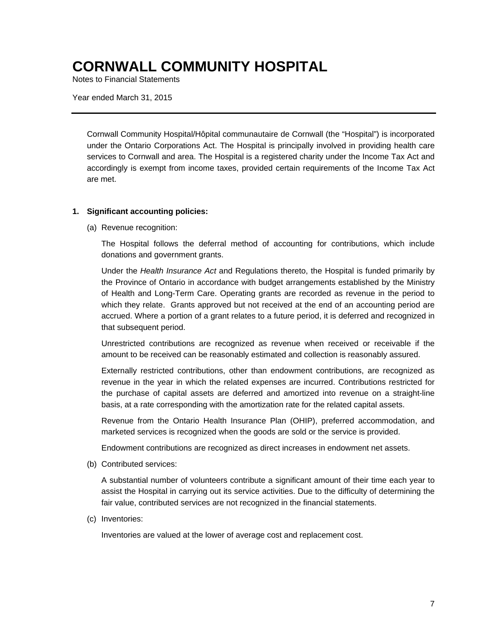Notes to Financial Statements

Year ended March 31, 2015

Cornwall Community Hospital/Hôpital communautaire de Cornwall (the "Hospital") is incorporated under the Ontario Corporations Act. The Hospital is principally involved in providing health care services to Cornwall and area. The Hospital is a registered charity under the Income Tax Act and accordingly is exempt from income taxes, provided certain requirements of the Income Tax Act are met.

### **1. Significant accounting policies:**

(a) Revenue recognition:

The Hospital follows the deferral method of accounting for contributions, which include donations and government grants.

Under the *Health Insurance Act* and Regulations thereto, the Hospital is funded primarily by the Province of Ontario in accordance with budget arrangements established by the Ministry of Health and Long-Term Care. Operating grants are recorded as revenue in the period to which they relate. Grants approved but not received at the end of an accounting period are accrued. Where a portion of a grant relates to a future period, it is deferred and recognized in that subsequent period.

Unrestricted contributions are recognized as revenue when received or receivable if the amount to be received can be reasonably estimated and collection is reasonably assured.

Externally restricted contributions, other than endowment contributions, are recognized as revenue in the year in which the related expenses are incurred. Contributions restricted for the purchase of capital assets are deferred and amortized into revenue on a straight-line basis, at a rate corresponding with the amortization rate for the related capital assets.

Revenue from the Ontario Health Insurance Plan (OHIP), preferred accommodation, and marketed services is recognized when the goods are sold or the service is provided.

Endowment contributions are recognized as direct increases in endowment net assets.

(b) Contributed services:

A substantial number of volunteers contribute a significant amount of their time each year to assist the Hospital in carrying out its service activities. Due to the difficulty of determining the fair value, contributed services are not recognized in the financial statements.

(c) Inventories:

Inventories are valued at the lower of average cost and replacement cost.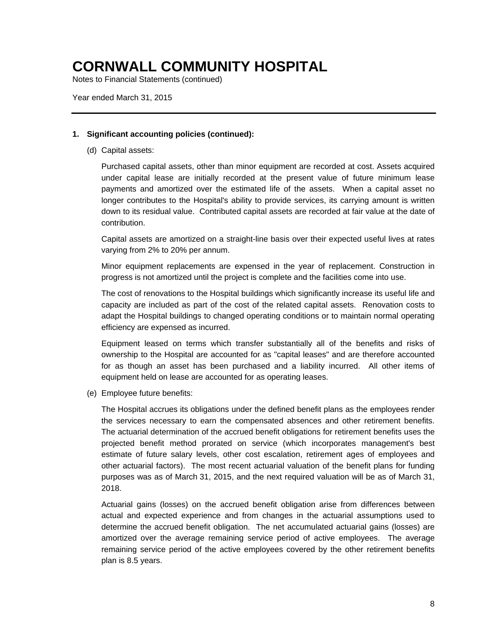Notes to Financial Statements (continued)

Year ended March 31, 2015

#### **1. Significant accounting policies (continued):**

(d) Capital assets:

Purchased capital assets, other than minor equipment are recorded at cost. Assets acquired under capital lease are initially recorded at the present value of future minimum lease payments and amortized over the estimated life of the assets. When a capital asset no longer contributes to the Hospital's ability to provide services, its carrying amount is written down to its residual value. Contributed capital assets are recorded at fair value at the date of contribution.

Capital assets are amortized on a straight-line basis over their expected useful lives at rates varying from 2% to 20% per annum.

Minor equipment replacements are expensed in the year of replacement. Construction in progress is not amortized until the project is complete and the facilities come into use.

The cost of renovations to the Hospital buildings which significantly increase its useful life and capacity are included as part of the cost of the related capital assets. Renovation costs to adapt the Hospital buildings to changed operating conditions or to maintain normal operating efficiency are expensed as incurred.

Equipment leased on terms which transfer substantially all of the benefits and risks of ownership to the Hospital are accounted for as "capital leases" and are therefore accounted for as though an asset has been purchased and a liability incurred. All other items of equipment held on lease are accounted for as operating leases.

(e) Employee future benefits:

The Hospital accrues its obligations under the defined benefit plans as the employees render the services necessary to earn the compensated absences and other retirement benefits. The actuarial determination of the accrued benefit obligations for retirement benefits uses the projected benefit method prorated on service (which incorporates management's best estimate of future salary levels, other cost escalation, retirement ages of employees and other actuarial factors). The most recent actuarial valuation of the benefit plans for funding purposes was as of March 31, 2015, and the next required valuation will be as of March 31, 2018.

Actuarial gains (losses) on the accrued benefit obligation arise from differences between actual and expected experience and from changes in the actuarial assumptions used to determine the accrued benefit obligation. The net accumulated actuarial gains (losses) are amortized over the average remaining service period of active employees. The average remaining service period of the active employees covered by the other retirement benefits plan is 8.5 years.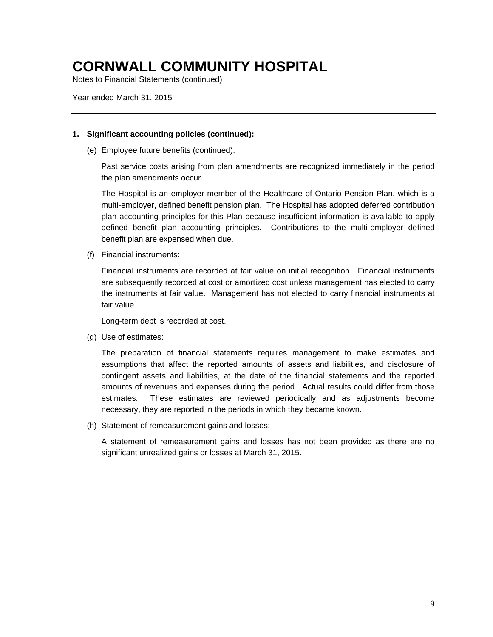Notes to Financial Statements (continued)

Year ended March 31, 2015

### **1. Significant accounting policies (continued):**

(e) Employee future benefits (continued):

Past service costs arising from plan amendments are recognized immediately in the period the plan amendments occur.

The Hospital is an employer member of the Healthcare of Ontario Pension Plan, which is a multi-employer, defined benefit pension plan. The Hospital has adopted deferred contribution plan accounting principles for this Plan because insufficient information is available to apply defined benefit plan accounting principles. Contributions to the multi-employer defined benefit plan are expensed when due.

(f) Financial instruments:

Financial instruments are recorded at fair value on initial recognition. Financial instruments are subsequently recorded at cost or amortized cost unless management has elected to carry the instruments at fair value. Management has not elected to carry financial instruments at fair value.

Long-term debt is recorded at cost.

(g) Use of estimates:

The preparation of financial statements requires management to make estimates and assumptions that affect the reported amounts of assets and liabilities, and disclosure of contingent assets and liabilities, at the date of the financial statements and the reported amounts of revenues and expenses during the period. Actual results could differ from those estimates. These estimates are reviewed periodically and as adjustments become necessary, they are reported in the periods in which they became known.

(h) Statement of remeasurement gains and losses:

A statement of remeasurement gains and losses has not been provided as there are no significant unrealized gains or losses at March 31, 2015.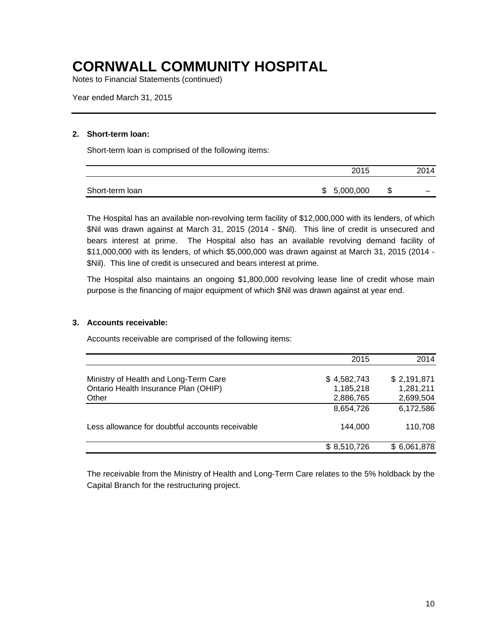Notes to Financial Statements (continued)

Year ended March 31, 2015

#### **2. Short-term loan:**

Short-term loan is comprised of the following items:

|                 | 2015            | 2014 |
|-----------------|-----------------|------|
| Short-term loan | 5,000,000<br>\$ | \$   |

The Hospital has an available non-revolving term facility of \$12,000,000 with its lenders, of which \$Nil was drawn against at March 31, 2015 (2014 - \$Nil). This line of credit is unsecured and bears interest at prime. The Hospital also has an available revolving demand facility of \$11,000,000 with its lenders, of which \$5,000,000 was drawn against at March 31, 2015 (2014 - \$Nil). This line of credit is unsecured and bears interest at prime.

The Hospital also maintains an ongoing \$1,800,000 revolving lease line of credit whose main purpose is the financing of major equipment of which \$Nil was drawn against at year end.

### **3. Accounts receivable:**

Accounts receivable are comprised of the following items:

|                                                 | 2015        | 2014        |
|-------------------------------------------------|-------------|-------------|
| Ministry of Health and Long-Term Care           | \$4,582,743 | \$2,191,871 |
| Ontario Health Insurance Plan (OHIP)            | 1,185,218   | 1,281,211   |
| Other                                           | 2,886,765   | 2,699,504   |
|                                                 | 8,654,726   | 6,172,586   |
| Less allowance for doubtful accounts receivable | 144.000     | 110,708     |
|                                                 | \$8,510,726 | \$6,061,878 |

The receivable from the Ministry of Health and Long-Term Care relates to the 5% holdback by the Capital Branch for the restructuring project.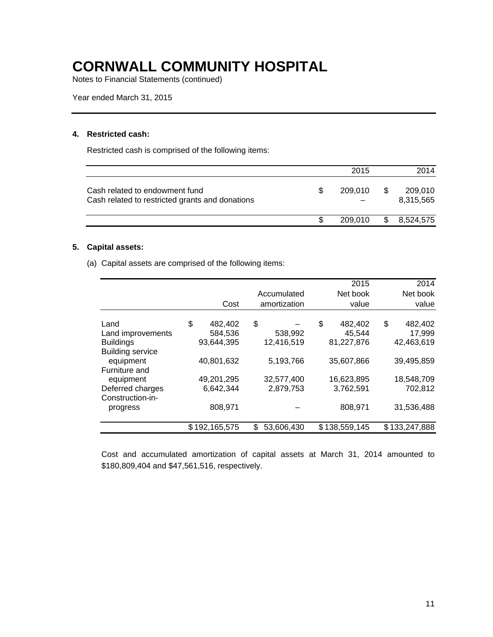Notes to Financial Statements (continued)

Year ended March 31, 2015

### **4. Restricted cash:**

Restricted cash is comprised of the following items:

|                                                                                   |     | 2015    | 2014                       |
|-----------------------------------------------------------------------------------|-----|---------|----------------------------|
| Cash related to endowment fund<br>Cash related to restricted grants and donations | S   | 209,010 | \$<br>209,010<br>8,315,565 |
|                                                                                   | \$. | 209.010 | \$<br>8,524,575            |

### **5. Capital assets:**

(a) Capital assets are comprised of the following items:

|                         |               |     |              | 2015          | 2014          |
|-------------------------|---------------|-----|--------------|---------------|---------------|
|                         |               |     | Accumulated  | Net book      | Net book      |
|                         | Cost          |     | amortization | value         | value         |
| Land                    | \$<br>482,402 | \$  |              | \$<br>482,402 | \$<br>482,402 |
| Land improvements       | 584.536       |     | 538,992      | 45.544        | 17,999        |
| <b>Buildings</b>        | 93,644,395    |     | 12,416,519   | 81,227,876    | 42,463,619    |
| <b>Building service</b> |               |     |              |               |               |
| equipment               | 40,801,632    |     | 5,193,766    | 35,607,866    | 39,495,859    |
| Furniture and           |               |     |              |               |               |
| equipment               | 49,201,295    |     | 32,577,400   | 16,623,895    | 18,548,709    |
| Deferred charges        | 6,642,344     |     | 2,879,753    | 3,762,591     | 702,812       |
| Construction-in-        |               |     |              |               |               |
| progress                | 808,971       |     |              | 808,971       | 31,536,488    |
|                         | \$192,165,575 | \$. | 53,606,430   | \$138,559,145 | \$133,247,888 |

Cost and accumulated amortization of capital assets at March 31, 2014 amounted to \$180,809,404 and \$47,561,516, respectively.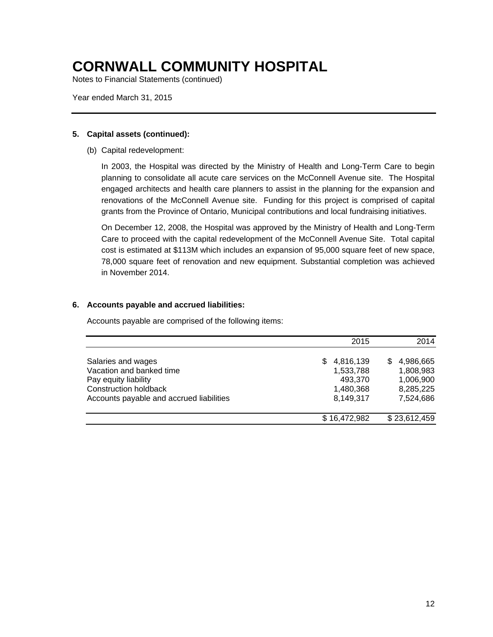Notes to Financial Statements (continued)

Year ended March 31, 2015

### **5. Capital assets (continued):**

(b) Capital redevelopment:

In 2003, the Hospital was directed by the Ministry of Health and Long-Term Care to begin planning to consolidate all acute care services on the McConnell Avenue site. The Hospital engaged architects and health care planners to assist in the planning for the expansion and renovations of the McConnell Avenue site. Funding for this project is comprised of capital grants from the Province of Ontario, Municipal contributions and local fundraising initiatives.

On December 12, 2008, the Hospital was approved by the Ministry of Health and Long-Term Care to proceed with the capital redevelopment of the McConnell Avenue Site. Total capital cost is estimated at \$113M which includes an expansion of 95,000 square feet of new space, 78,000 square feet of renovation and new equipment. Substantial completion was achieved in November 2014.

### **6. Accounts payable and accrued liabilities:**

Accounts payable are comprised of the following items:

|                                          | 2015             | 2014           |
|------------------------------------------|------------------|----------------|
| Salaries and wages                       | 4,816,139<br>SS. | 4,986,665<br>S |
| Vacation and banked time                 | 1,533,788        | 1,808,983      |
| Pay equity liability                     | 493.370          | 1,006,900      |
| <b>Construction holdback</b>             | 1,480,368        | 8,285,225      |
| Accounts payable and accrued liabilities | 8,149,317        | 7,524,686      |
|                                          | \$16,472,982     | \$23,612,459   |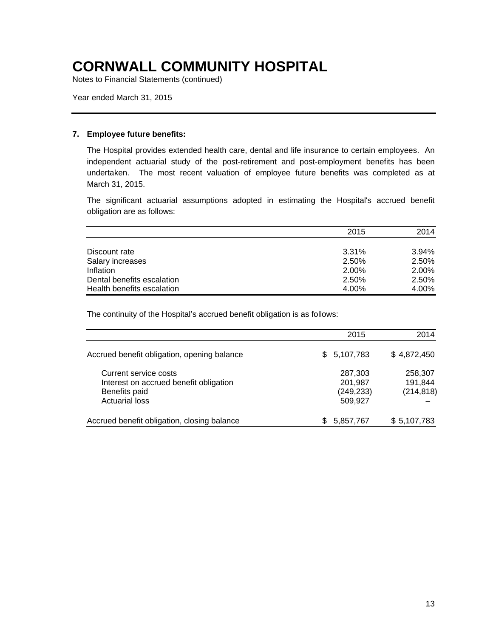Notes to Financial Statements (continued)

Year ended March 31, 2015

### **7. Employee future benefits:**

The Hospital provides extended health care, dental and life insurance to certain employees. An independent actuarial study of the post-retirement and post-employment benefits has been undertaken. The most recent valuation of employee future benefits was completed as at March 31, 2015.

The significant actuarial assumptions adopted in estimating the Hospital's accrued benefit obligation are as follows:

|                            | 2015     | 2014  |
|----------------------------|----------|-------|
| Discount rate              | $3.31\%$ | 3.94% |
| Salary increases           | 2.50%    | 2.50% |
| Inflation                  | 2.00%    | 2.00% |
| Dental benefits escalation | 2.50%    | 2.50% |
| Health benefits escalation | 4.00%    | 4.00% |

The continuity of the Hospital's accrued benefit obligation is as follows:

|                                                                                                           | 2015                                        | 2014                             |
|-----------------------------------------------------------------------------------------------------------|---------------------------------------------|----------------------------------|
| Accrued benefit obligation, opening balance                                                               | 5,107,783<br>S.                             | \$4,872,450                      |
| Current service costs<br>Interest on accrued benefit obligation<br>Benefits paid<br><b>Actuarial loss</b> | 287,303<br>201,987<br>(249, 233)<br>509,927 | 258,307<br>191,844<br>(214, 818) |
| Accrued benefit obligation, closing balance                                                               | 5,857,767                                   | \$5,107,783                      |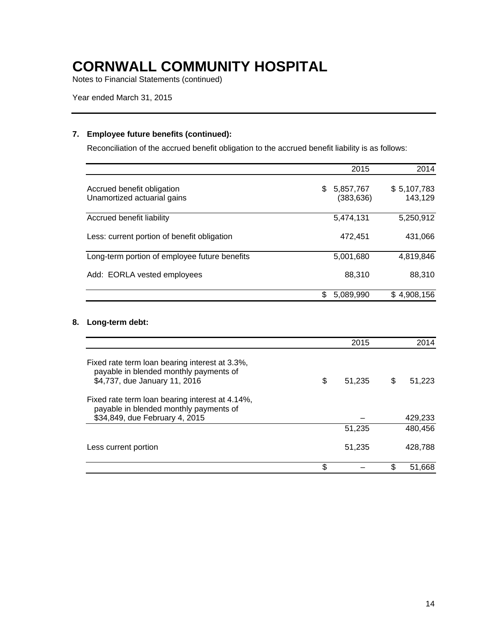Notes to Financial Statements (continued)

Year ended March 31, 2015

### **7. Employee future benefits (continued):**

Reconciliation of the accrued benefit obligation to the accrued benefit liability is as follows:

|                                                           | 2015                         | 2014                   |
|-----------------------------------------------------------|------------------------------|------------------------|
| Accrued benefit obligation<br>Unamortized actuarial gains | 5,857,767<br>S<br>(383, 636) | \$5,107,783<br>143,129 |
| Accrued benefit liability                                 | 5,474,131                    | 5,250,912              |
| Less: current portion of benefit obligation               | 472.451                      | 431,066                |
| Long-term portion of employee future benefits             | 5,001,680                    | 4,819,846              |
| Add: EORLA vested employees                               | 88,310                       | 88,310                 |
|                                                           | 5,089,990                    | \$4,908,156            |

### **8. Long-term debt:**

|                                                                                                                             | 2015         | 2014         |
|-----------------------------------------------------------------------------------------------------------------------------|--------------|--------------|
| Fixed rate term loan bearing interest at 3.3%.<br>payable in blended monthly payments of<br>\$4,737, due January 11, 2016   | \$<br>51,235 | \$<br>51,223 |
| Fixed rate term loan bearing interest at 4.14%.<br>payable in blended monthly payments of<br>\$34,849, due February 4, 2015 |              | 429,233      |
|                                                                                                                             | 51,235       | 480,456      |
| Less current portion                                                                                                        | 51,235       | 428.788      |
|                                                                                                                             | \$           | \$<br>51,668 |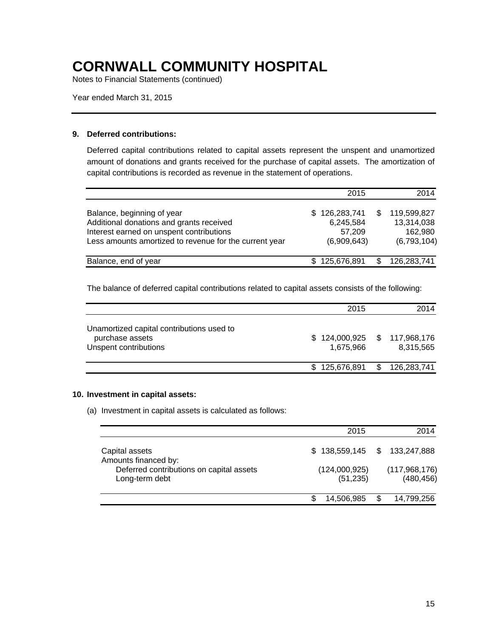Notes to Financial Statements (continued)

Year ended March 31, 2015

### **9. Deferred contributions:**

Deferred capital contributions related to capital assets represent the unspent and unamortized amount of donations and grants received for the purchase of capital assets. The amortization of capital contributions is recorded as revenue in the statement of operations.

|                                                                                                                                                                              | 2015                                                | 2014                                                |
|------------------------------------------------------------------------------------------------------------------------------------------------------------------------------|-----------------------------------------------------|-----------------------------------------------------|
| Balance, beginning of year<br>Additional donations and grants received<br>Interest earned on unspent contributions<br>Less amounts amortized to revenue for the current year | \$126,283,741<br>6,245,584<br>57.209<br>(6,909,643) | 119,599,827<br>13,314,038<br>162,980<br>(6,793,104) |
| Balance, end of year                                                                                                                                                         | 125,676,891                                         | 126,283,741                                         |

The balance of deferred capital contributions related to capital assets consists of the following:

|                                                                                       | 2015                       |    | 2014                     |
|---------------------------------------------------------------------------------------|----------------------------|----|--------------------------|
| Unamortized capital contributions used to<br>purchase assets<br>Unspent contributions | \$124,000,925<br>1.675.966 | S  | 117,968,176<br>8,315,565 |
|                                                                                       | \$125,676,891              | S. | 126,283,741              |

### **10. Investment in capital assets:**

(a) Investment in capital assets is calculated as follows:

|                                                            | 2015                       | 2014                        |
|------------------------------------------------------------|----------------------------|-----------------------------|
| Capital assets<br>Amounts financed by:                     |                            | \$138,559,145 \$133,247,888 |
| Deferred contributions on capital assets<br>Long-term debt | (124,000,925)<br>(51, 235) | (117,968,176)<br>(480, 456) |
|                                                            | 14,506,985                 | 14,799,256                  |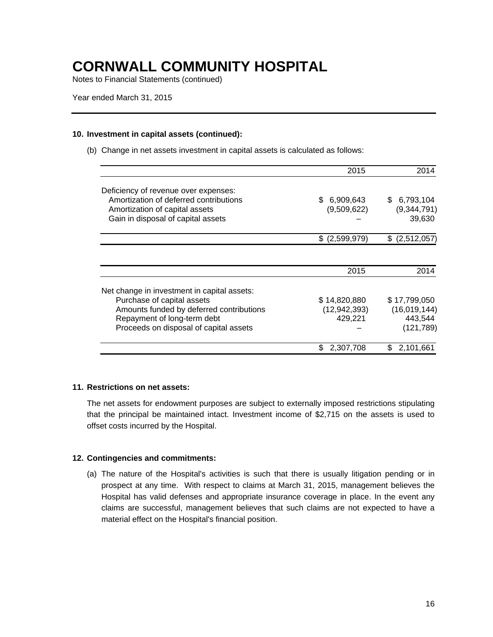Notes to Financial Statements (continued)

#### **10. Investment in capital assets (continued):**

(b) Change in net assets investment in capital assets is calculated as follows:

|                                                                        | 2015                         | 2014                         |
|------------------------------------------------------------------------|------------------------------|------------------------------|
| Deficiency of revenue over expenses:                                   |                              |                              |
| Amortization of deferred contributions                                 | \$ 6,909,643                 | \$ 6,793,104                 |
| Amortization of capital assets                                         | (9,509,622)                  | (9,344,791)                  |
| Gain in disposal of capital assets                                     |                              | 39,630                       |
|                                                                        | \$ (2,599,979)               | (2,512,057)<br>S.            |
|                                                                        | 2015                         | 2014                         |
|                                                                        |                              |                              |
| Net change in investment in capital assets:                            |                              |                              |
| Purchase of capital assets<br>Amounts funded by deferred contributions | \$14,820,880<br>(12,942,393) | \$17,799,050<br>(16,019,144) |
| Repayment of long-term debt                                            | 429,221                      | 443,544                      |
| Proceeds on disposal of capital assets                                 |                              | (121, 789)                   |
|                                                                        | 2,307,708                    | \$2,101,661                  |

#### **11. Restrictions on net assets:**

The net assets for endowment purposes are subject to externally imposed restrictions stipulating that the principal be maintained intact. Investment income of \$2,715 on the assets is used to offset costs incurred by the Hospital.

#### **12. Contingencies and commitments:**

(a) The nature of the Hospital's activities is such that there is usually litigation pending or in prospect at any time. With respect to claims at March 31, 2015, management believes the Hospital has valid defenses and appropriate insurance coverage in place. In the event any claims are successful, management believes that such claims are not expected to have a material effect on the Hospital's financial position.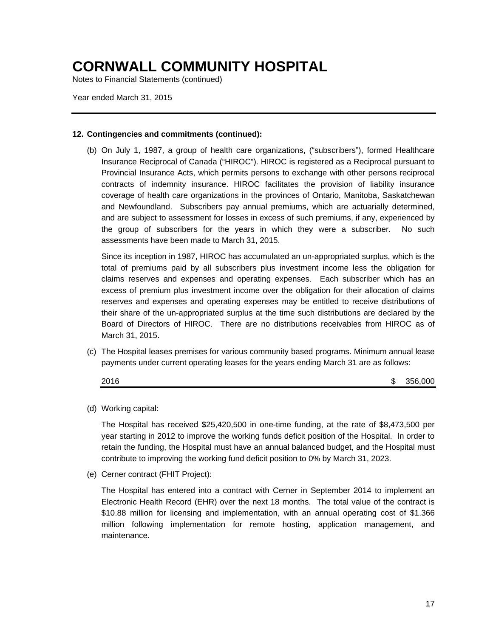Notes to Financial Statements (continued)

Year ended March 31, 2015

#### **12. Contingencies and commitments (continued):**

(b) On July 1, 1987, a group of health care organizations, ("subscribers"), formed Healthcare Insurance Reciprocal of Canada ("HIROC"). HIROC is registered as a Reciprocal pursuant to Provincial Insurance Acts, which permits persons to exchange with other persons reciprocal contracts of indemnity insurance. HIROC facilitates the provision of liability insurance coverage of health care organizations in the provinces of Ontario, Manitoba, Saskatchewan and Newfoundland. Subscribers pay annual premiums, which are actuarially determined, and are subject to assessment for losses in excess of such premiums, if any, experienced by the group of subscribers for the years in which they were a subscriber. No such assessments have been made to March 31, 2015.

Since its inception in 1987, HIROC has accumulated an un-appropriated surplus, which is the total of premiums paid by all subscribers plus investment income less the obligation for claims reserves and expenses and operating expenses. Each subscriber which has an excess of premium plus investment income over the obligation for their allocation of claims reserves and expenses and operating expenses may be entitled to receive distributions of their share of the un-appropriated surplus at the time such distributions are declared by the Board of Directors of HIROC. There are no distributions receivables from HIROC as of March 31, 2015.

(c) The Hospital leases premises for various community based programs. Minimum annual lease payments under current operating leases for the years ending March 31 are as follows:

| 356,000<br>2016 |
|-----------------|
|-----------------|

(d) Working capital:

The Hospital has received \$25,420,500 in one-time funding, at the rate of \$8,473,500 per year starting in 2012 to improve the working funds deficit position of the Hospital. In order to retain the funding, the Hospital must have an annual balanced budget, and the Hospital must contribute to improving the working fund deficit position to 0% by March 31, 2023.

(e) Cerner contract (FHIT Project):

The Hospital has entered into a contract with Cerner in September 2014 to implement an Electronic Health Record (EHR) over the next 18 months. The total value of the contract is \$10.88 million for licensing and implementation, with an annual operating cost of \$1.366 million following implementation for remote hosting, application management, and maintenance.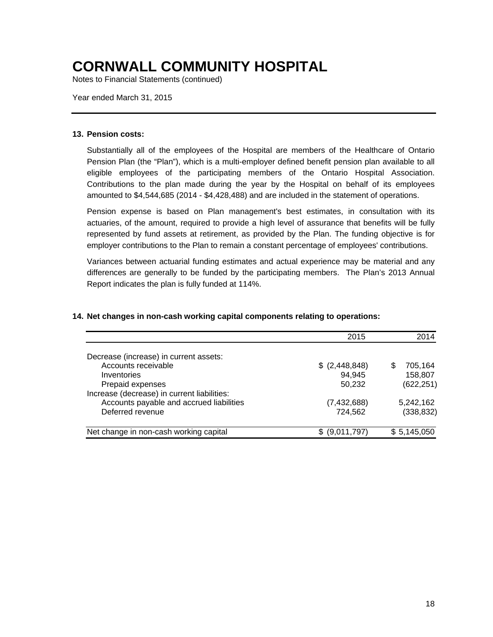Notes to Financial Statements (continued)

Year ended March 31, 2015

#### **13. Pension costs:**

Substantially all of the employees of the Hospital are members of the Healthcare of Ontario Pension Plan (the "Plan"), which is a multi-employer defined benefit pension plan available to all eligible employees of the participating members of the Ontario Hospital Association. Contributions to the plan made during the year by the Hospital on behalf of its employees amounted to \$4,544,685 (2014 - \$4,428,488) and are included in the statement of operations.

Pension expense is based on Plan management's best estimates, in consultation with its actuaries, of the amount, required to provide a high level of assurance that benefits will be fully represented by fund assets at retirement, as provided by the Plan. The funding objective is for employer contributions to the Plan to remain a constant percentage of employees' contributions.

Variances between actuarial funding estimates and actual experience may be material and any differences are generally to be funded by the participating members. The Plan's 2013 Annual Report indicates the plan is fully funded at 114%.

|                                             | 2015            | 2014          |
|---------------------------------------------|-----------------|---------------|
| Decrease (increase) in current assets:      |                 |               |
| Accounts receivable                         | $$$ (2,448,848) | 705,164<br>S. |
| Inventories                                 | 94,945          | 158,807       |
| Prepaid expenses                            | 50,232          | (622, 251)    |
| Increase (decrease) in current liabilities: |                 |               |
| Accounts payable and accrued liabilities    | (7,432,688)     | 5,242,162     |
| Deferred revenue                            | 724,562         | (338, 832)    |
| Net change in non-cash working capital      | \$ (9,011,797)  | \$5,145,050   |

#### **14. Net changes in non-cash working capital components relating to operations:**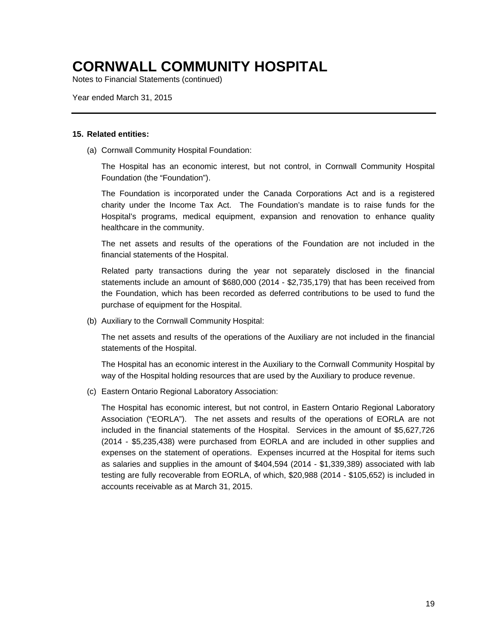Notes to Financial Statements (continued)

Year ended March 31, 2015

#### **15. Related entities:**

(a) Cornwall Community Hospital Foundation:

The Hospital has an economic interest, but not control, in Cornwall Community Hospital Foundation (the "Foundation").

The Foundation is incorporated under the Canada Corporations Act and is a registered charity under the Income Tax Act. The Foundation's mandate is to raise funds for the Hospital's programs, medical equipment, expansion and renovation to enhance quality healthcare in the community.

The net assets and results of the operations of the Foundation are not included in the financial statements of the Hospital.

Related party transactions during the year not separately disclosed in the financial statements include an amount of \$680,000 (2014 - \$2,735,179) that has been received from the Foundation, which has been recorded as deferred contributions to be used to fund the purchase of equipment for the Hospital.

(b) Auxiliary to the Cornwall Community Hospital:

The net assets and results of the operations of the Auxiliary are not included in the financial statements of the Hospital.

The Hospital has an economic interest in the Auxiliary to the Cornwall Community Hospital by way of the Hospital holding resources that are used by the Auxiliary to produce revenue.

(c) Eastern Ontario Regional Laboratory Association:

The Hospital has economic interest, but not control, in Eastern Ontario Regional Laboratory Association ("EORLA"). The net assets and results of the operations of EORLA are not included in the financial statements of the Hospital. Services in the amount of \$5,627,726 (2014 - \$5,235,438) were purchased from EORLA and are included in other supplies and expenses on the statement of operations. Expenses incurred at the Hospital for items such as salaries and supplies in the amount of \$404,594 (2014 - \$1,339,389) associated with lab testing are fully recoverable from EORLA, of which, \$20,988 (2014 - \$105,652) is included in accounts receivable as at March 31, 2015.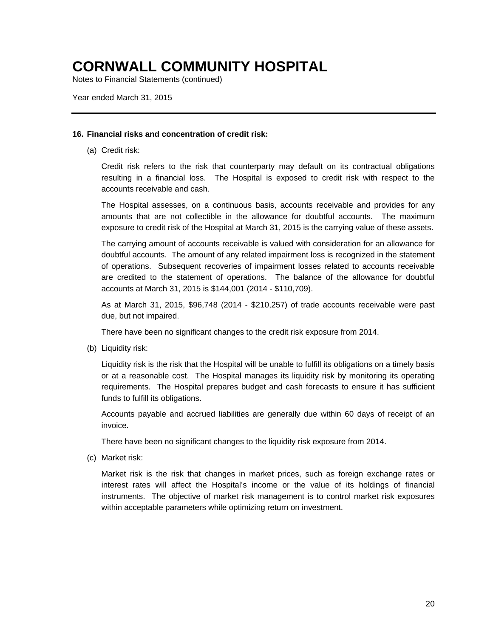Notes to Financial Statements (continued)

Year ended March 31, 2015

#### **16. Financial risks and concentration of credit risk:**

(a) Credit risk:

Credit risk refers to the risk that counterparty may default on its contractual obligations resulting in a financial loss. The Hospital is exposed to credit risk with respect to the accounts receivable and cash.

The Hospital assesses, on a continuous basis, accounts receivable and provides for any amounts that are not collectible in the allowance for doubtful accounts. The maximum exposure to credit risk of the Hospital at March 31, 2015 is the carrying value of these assets.

The carrying amount of accounts receivable is valued with consideration for an allowance for doubtful accounts. The amount of any related impairment loss is recognized in the statement of operations. Subsequent recoveries of impairment losses related to accounts receivable are credited to the statement of operations. The balance of the allowance for doubtful accounts at March 31, 2015 is \$144,001 (2014 - \$110,709).

As at March 31, 2015, \$96,748 (2014 - \$210,257) of trade accounts receivable were past due, but not impaired.

There have been no significant changes to the credit risk exposure from 2014.

(b) Liquidity risk:

Liquidity risk is the risk that the Hospital will be unable to fulfill its obligations on a timely basis or at a reasonable cost. The Hospital manages its liquidity risk by monitoring its operating requirements. The Hospital prepares budget and cash forecasts to ensure it has sufficient funds to fulfill its obligations.

Accounts payable and accrued liabilities are generally due within 60 days of receipt of an invoice.

There have been no significant changes to the liquidity risk exposure from 2014.

(c) Market risk:

Market risk is the risk that changes in market prices, such as foreign exchange rates or interest rates will affect the Hospital's income or the value of its holdings of financial instruments. The objective of market risk management is to control market risk exposures within acceptable parameters while optimizing return on investment.